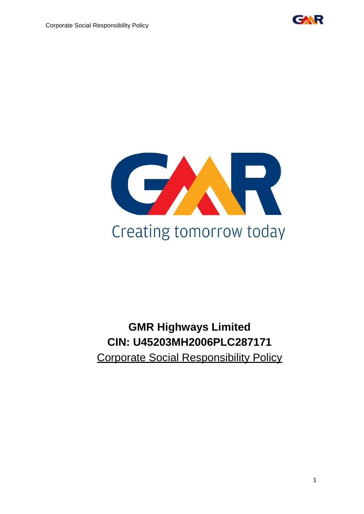

Corporate Social Responsibility Policy



# **GMR Highways Limited CIN: U45203MH2006PLC287171** Corporate Social Responsibility Policy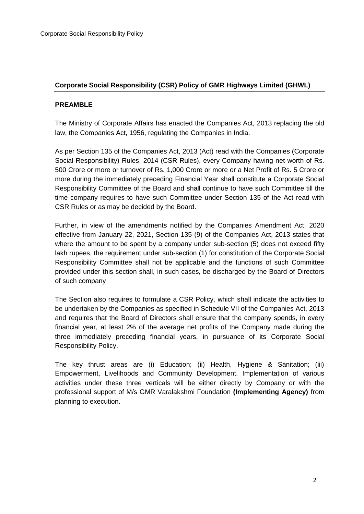## **Corporate Social Responsibility (CSR) Policy of GMR Highways Limited (GHWL)**

#### **PREAMBLE**

The Ministry of Corporate Affairs has enacted the Companies Act, 2013 replacing the old law, the Companies Act, 1956, regulating the Companies in India.

As per Section 135 of the Companies Act, 2013 (Act) read with the Companies (Corporate Social Responsibility) Rules, 2014 (CSR Rules), every Company having net worth of Rs. 500 Crore or more or turnover of Rs. 1,000 Crore or more or a Net Profit of Rs. 5 Crore or more during the immediately preceding Financial Year shall constitute a Corporate Social Responsibility Committee of the Board and shall continue to have such Committee till the time company requires to have such Committee under Section 135 of the Act read with CSR Rules or as may be decided by the Board.

Further, in view of the amendments notified by the Companies Amendment Act, 2020 effective from January 22, 2021, Section 135 (9) of the Companies Act, 2013 states that where the amount to be spent by a company under sub-section (5) does not exceed fifty lakh rupees, the requirement under sub-section (1) for constitution of the Corporate Social Responsibility Committee shall not be applicable and the functions of such Committee provided under this section shall, in such cases, be discharged by the Board of Directors of such company

The Section also requires to formulate a CSR Policy, which shall indicate the activities to be undertaken by the Companies as specified in Schedule VII of the Companies Act, 2013 and requires that the Board of Directors shall ensure that the company spends, in every financial year, at least 2% of the average net profits of the Company made during the three immediately preceding financial years, in pursuance of its Corporate Social Responsibility Policy.

The key thrust areas are (i) Education; (ii) Health, Hygiene & Sanitation; (iii) Empowerment, Livelihoods and Community Development. Implementation of various activities under these three verticals will be either directly by Company or with the professional support of M/s GMR Varalakshmi Foundation **(Implementing Agency)** from planning to execution.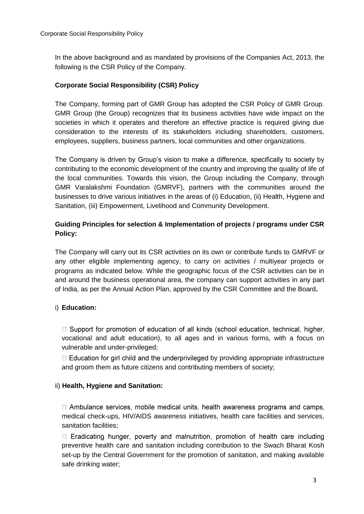In the above background and as mandated by provisions of the Companies Act, 2013, the following is the CSR Policy of the Company.

## **Corporate Social Responsibility (CSR) Policy**

The Company, forming part of GMR Group has adopted the CSR Policy of GMR Group. GMR Group (the Group) recognizes that its business activities have wide impact on the societies in which it operates and therefore an effective practice is required giving due consideration to the interests of its stakeholders including shareholders, customers, employees, suppliers, business partners, local communities and other organizations.

The Company is driven by Group's vision to make a difference, specifically to society by contributing to the economic development of the country and improving the quality of life of the local communities. Towards this vision, the Group including the Company, through GMR Varalakshmi Foundation (GMRVF), partners with the communities around the businesses to drive various initiatives in the areas of (i) Education, (ii) Health, Hygiene and Sanitation, (iii) Empowerment, Livelihood and Community Development.

# **Guiding Principles for selection & Implementation of projects / programs under CSR Policy:**

The Company will carry out its CSR activities on its own or contribute funds to GMRVF or any other eligible implementing agency, to carry on activities / multiyear projects or programs as indicated below. While the geographic focus of the CSR activities can be in and around the business operational area, the company can support activities in any part of India, as per the Annual Action Plan, approved by the CSR Committee and the Board**.**

# i) **Education:**

 $\Box$  Support for promotion of education of all kinds (school education, technical, higher, vocational and adult education), to all ages and in various forms, with a focus on vulnerable and under-privileged;

 $\Box$  Education for girl child and the underprivileged by providing appropriate infrastructure and groom them as future citizens and contributing members of society;

## ii) **Health, Hygiene and Sanitation:**

 $\Box$  Ambulance services, mobile medical units, health awareness programs and camps, medical check-ups, HIV/AIDS awareness initiatives, health care facilities and services, sanitation facilities;

 $\Box$  Eradicating hunger, poverty and malnutrition, promotion of health care including preventive health care and sanitation including contribution to the Swach Bharat Kosh set-up by the Central Government for the promotion of sanitation, and making available safe drinking water;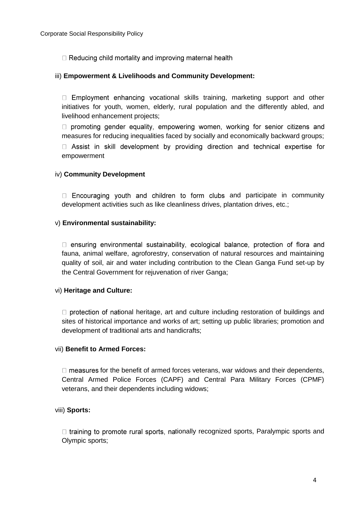□ Reducing child mortality and improving maternal health

## iii) **Empowerment & Livelihoods and Community Development:**

 $\Box$  Employment enhancing vocational skills training, marketing support and other initiatives for youth, women, elderly, rural population and the differently abled, and livelihood enhancement projects;

□ promoting gender equality, empowering women, working for senior citizens and measures for reducing inequalities faced by socially and economically backward groups;

□ Assist in skill development by providing direction and technical expertise for empowerment

## iv) **Community Development**

 $\Box$  Encouraging youth and children to form clubs and participate in community development activities such as like cleanliness drives, plantation drives, etc.;

## v) **Environmental sustainability:**

□ ensuring environmental sustainability, ecological balance, protection of flora and fauna, animal welfare, agroforestry, conservation of natural resources and maintaining quality of soil, air and water including contribution to the Clean Ganga Fund set-up by the Central Government for rejuvenation of river Ganga;

#### vi) **Heritage and Culture:**

 $\Box$  protection of national heritage, art and culture including restoration of buildings and sites of historical importance and works of art; setting up public libraries; promotion and development of traditional arts and handicrafts;

#### vii) **Benefit to Armed Forces:**

 $\Box$  measures for the benefit of armed forces veterans, war widows and their dependents, Central Armed Police Forces (CAPF) and Central Para Military Forces (CPMF) veterans, and their dependents including widows;

#### viii) **Sports:**

 $\Box$  training to promote rural sports, nationally recognized sports, Paralympic sports and Olympic sports;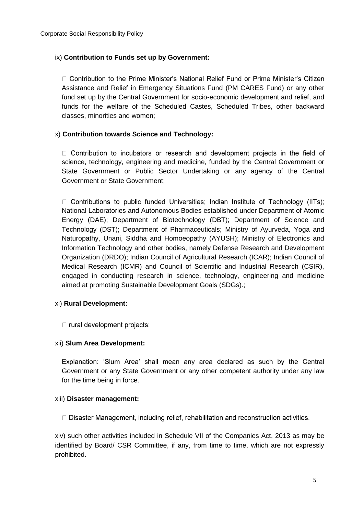## ix) **Contribution to Funds set up by Government:**

□ Contribution to the Prime Minister's National Relief Fund or Prime Minister's Citizen Assistance and Relief in Emergency Situations Fund (PM CARES Fund) or any other fund set up by the Central Government for socio-economic development and relief, and funds for the welfare of the Scheduled Castes, Scheduled Tribes, other backward classes, minorities and women;

## x) **Contribution towards Science and Technology:**

 $\Box$  Contribution to incubators or research and development projects in the field of science, technology, engineering and medicine, funded by the Central Government or State Government or Public Sector Undertaking or any agency of the Central Government or State Government;

 $\Box$  Contributions to public funded Universities; Indian Institute of Technology (IITs); National Laboratories and Autonomous Bodies established under Department of Atomic Energy (DAE); Department of Biotechnology (DBT); Department of Science and Technology (DST); Department of Pharmaceuticals; Ministry of Ayurveda, Yoga and Naturopathy, Unani, Siddha and Homoeopathy (AYUSH); Ministry of Electronics and Information Technology and other bodies, namely Defense Research and Development Organization (DRDO); Indian Council of Agricultural Research (ICAR); Indian Council of Medical Research (ICMR) and Council of Scientific and Industrial Research (CSIR), engaged in conducting research in science, technology, engineering and medicine aimed at promoting Sustainable Development Goals (SDGs).;

#### xi) **Rural Development:**

 $\Box$  rural development projects;

#### xii) **Slum Area Development:**

Explanation: 'Slum Area' shall mean any area declared as such by the Central Government or any State Government or any other competent authority under any law for the time being in force.

#### xiii) **Disaster management:**

 $\Box$  Disaster Management, including relief, rehabilitation and reconstruction activities.

xiv) such other activities included in Schedule VII of the Companies Act, 2013 as may be identified by Board/ CSR Committee, if any, from time to time, which are not expressly prohibited.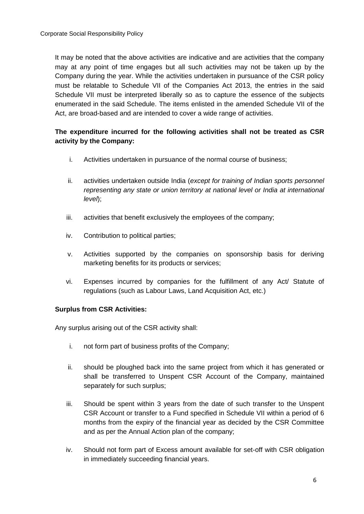It may be noted that the above activities are indicative and are activities that the company may at any point of time engages but all such activities may not be taken up by the Company during the year. While the activities undertaken in pursuance of the CSR policy must be relatable to Schedule VII of the Companies Act 2013, the entries in the said Schedule VII must be interpreted liberally so as to capture the essence of the subjects enumerated in the said Schedule. The items enlisted in the amended Schedule VII of the Act, are broad-based and are intended to cover a wide range of activities.

# **The expenditure incurred for the following activities shall not be treated as CSR activity by the Company:**

- i. Activities undertaken in pursuance of the normal course of business;
- ii. activities undertaken outside India (*except for training of Indian sports personnel representing any state or union territory at national level or India at international level*);
- iii. activities that benefit exclusively the employees of the company;
- iv. Contribution to political parties;
- v. Activities supported by the companies on sponsorship basis for deriving marketing benefits for its products or services;
- vi. Expenses incurred by companies for the fulfillment of any Act/ Statute of regulations (such as Labour Laws, Land Acquisition Act, etc.)

## **Surplus from CSR Activities:**

Any surplus arising out of the CSR activity shall:

- i. not form part of business profits of the Company;
- ii. should be ploughed back into the same project from which it has generated or shall be transferred to Unspent CSR Account of the Company, maintained separately for such surplus;
- iii. Should be spent within 3 years from the date of such transfer to the Unspent CSR Account or transfer to a Fund specified in Schedule VII within a period of 6 months from the expiry of the financial year as decided by the CSR Committee and as per the Annual Action plan of the company;
- iv. Should not form part of Excess amount available for set-off with CSR obligation in immediately succeeding financial years.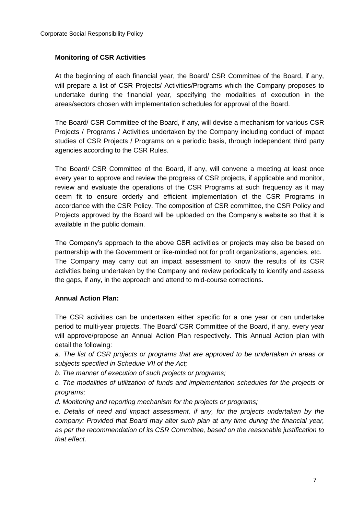## **Monitoring of CSR Activities**

At the beginning of each financial year, the Board/ CSR Committee of the Board, if any, will prepare a list of CSR Projects/ Activities/Programs which the Company proposes to undertake during the financial year, specifying the modalities of execution in the areas/sectors chosen with implementation schedules for approval of the Board.

The Board/ CSR Committee of the Board, if any, will devise a mechanism for various CSR Projects / Programs / Activities undertaken by the Company including conduct of impact studies of CSR Projects / Programs on a periodic basis, through independent third party agencies according to the CSR Rules.

The Board/ CSR Committee of the Board, if any, will convene a meeting at least once every year to approve and review the progress of CSR projects, if applicable and monitor, review and evaluate the operations of the CSR Programs at such frequency as it may deem fit to ensure orderly and efficient implementation of the CSR Programs in accordance with the CSR Policy. The composition of CSR committee, the CSR Policy and Projects approved by the Board will be uploaded on the Company's website so that it is available in the public domain.

The Company's approach to the above CSR activities or projects may also be based on partnership with the Government or like-minded not for profit organizations, agencies, etc. The Company may carry out an impact assessment to know the results of its CSR activities being undertaken by the Company and review periodically to identify and assess the gaps, if any, in the approach and attend to mid-course corrections.

#### **Annual Action Plan:**

The CSR activities can be undertaken either specific for a one year or can undertake period to multi-year projects. The Board/ CSR Committee of the Board, if any, every year will approve/propose an Annual Action Plan respectively. This Annual Action plan with detail the following:

*a. The list of CSR projects or programs that are approved to be undertaken in areas or subjects specified in Schedule VII of the Act;* 

*b. The manner of execution of such projects or programs;* 

*c. The modalities of utilization of funds and implementation schedules for the projects or programs;* 

*d. Monitoring and reporting mechanism for the projects or programs;* 

e. *Details of need and impact assessment, if any, for the projects undertaken by the company: Provided that Board may alter such plan at any time during the financial year, as per the recommendation of its CSR Committee, based on the reasonable justification to that effect*.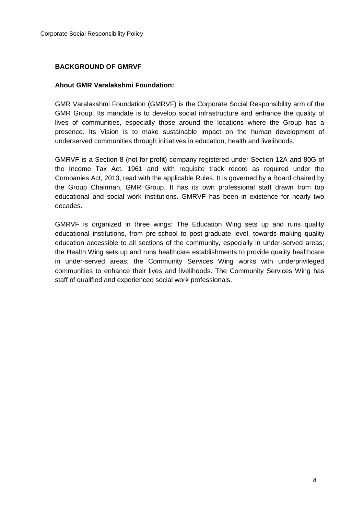### **BACKGROUND OF GMRVF**

### **About GMR Varalakshmi Foundation:**

GMR Varalakshmi Foundation (GMRVF) is the Corporate Social Responsibility arm of the GMR Group. Its mandate is to develop social infrastructure and enhance the quality of lives of communities, especially those around the locations where the Group has a presence. Its Vision is to make sustainable impact on the human development of underserved communities through initiatives in education, health and livelihoods.

GMRVF is a Section 8 (not-for-profit) company registered under Section 12A and 80G of the Income Tax Act, 1961 and with requisite track record as required under the Companies Act, 2013, read with the applicable Rules. It is governed by a Board chaired by the Group Chairman, GMR Group. It has its own professional staff drawn from top educational and social work institutions. GMRVF has been in existence for nearly two decades.

GMRVF is organized in three wings: The Education Wing sets up and runs quality educational institutions, from pre-school to post-graduate level, towards making quality education accessible to all sections of the community, especially in under-served areas; the Health Wing sets up and runs healthcare establishments to provide quality healthcare in under-served areas; the Community Services Wing works with underprivileged communities to enhance their lives and livelihoods. The Community Services Wing has staff of qualified and experienced social work professionals.